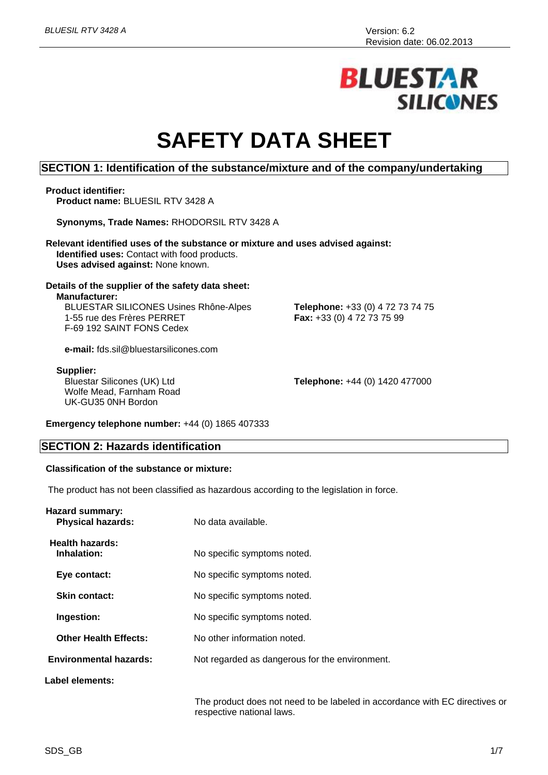# **BLUESTAR SILICONES**

# **SAFETY DATA SHEET**

#### **SECTION 1: Identification of the substance/mixture and of the company/undertaking**

## **Product identifier:**

**Product name:** BLUESIL RTV 3428 A

**Synonyms, Trade Names:** RHODORSIL RTV 3428 A

**Relevant identified uses of the substance or mixture and uses advised against: Identified uses:** Contact with food products. **Uses advised against:** None known.

#### **Details of the supplier of the safety data sheet: Manufacturer:**

BLUESTAR SILICONES Usines Rhône-Alpes 1-55 rue des Frères PERRET F-69 192 SAINT FONS Cedex

**Telephone:** +33 (0) 4 72 73 74 75 **Fax:** +33 (0) 4 72 73 75 99

**e-mail:** fds.sil@bluestarsilicones.com

#### **Supplier:**

Bluestar Silicones (UK) Ltd Wolfe Mead, Farnham Road UK-GU35 0NH Bordon

**Telephone:** +44 (0) 1420 477000

**Emergency telephone number:** +44 (0) 1865 407333

#### **SECTION 2: Hazards identification**

#### **Classification of the substance or mixture:**

The product has not been classified as hazardous according to the legislation in force.

| <b>Hazard summary:</b><br><b>Physical hazards:</b> | No data available.                             |
|----------------------------------------------------|------------------------------------------------|
| <b>Health hazards:</b><br>Inhalation:              | No specific symptoms noted.                    |
| Eye contact:                                       | No specific symptoms noted.                    |
| <b>Skin contact:</b>                               | No specific symptoms noted.                    |
| Ingestion:                                         | No specific symptoms noted.                    |
| <b>Other Health Effects:</b>                       | No other information noted.                    |
| <b>Environmental hazards:</b>                      | Not regarded as dangerous for the environment. |
| Label elements:                                    |                                                |
|                                                    |                                                |

The product does not need to be labeled in accordance with EC directives or respective national laws.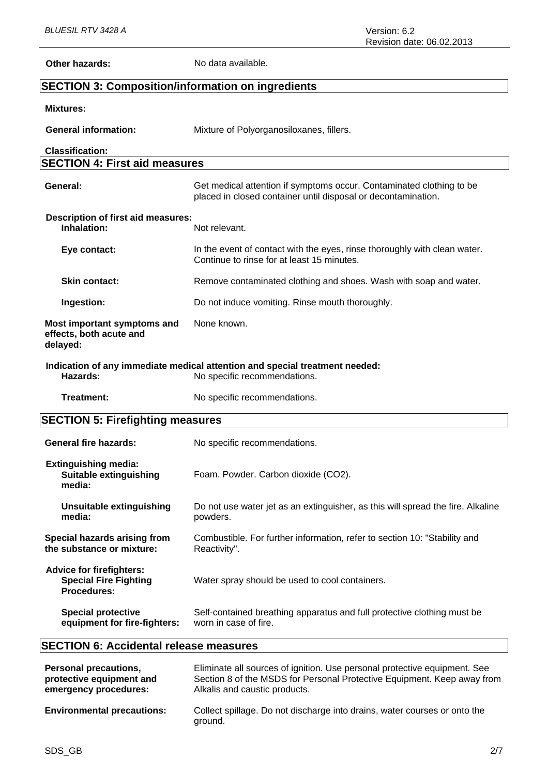**Other hazards:** No data available.

# **SECTION 3: Composition/information on ingredients**

# **Mixtures:**

| <b>General information:</b>                                                           | Mixture of Polyorganosiloxanes, fillers.                                                                                              |
|---------------------------------------------------------------------------------------|---------------------------------------------------------------------------------------------------------------------------------------|
| <b>Classification:</b>                                                                |                                                                                                                                       |
| <b>SECTION 4: First aid measures</b>                                                  |                                                                                                                                       |
| General:                                                                              | Get medical attention if symptoms occur. Contaminated clothing to be<br>placed in closed container until disposal or decontamination. |
| <b>Description of first aid measures:</b><br>Inhalation:                              | Not relevant.                                                                                                                         |
| Eye contact:                                                                          | In the event of contact with the eyes, rinse thoroughly with clean water.<br>Continue to rinse for at least 15 minutes.               |
| <b>Skin contact:</b>                                                                  | Remove contaminated clothing and shoes. Wash with soap and water.                                                                     |
| Ingestion:                                                                            | Do not induce vomiting. Rinse mouth thoroughly.                                                                                       |
| Most important symptoms and<br>effects, both acute and<br>delayed:                    | None known.                                                                                                                           |
| Hazards:                                                                              | Indication of any immediate medical attention and special treatment needed:<br>No specific recommendations.                           |
| <b>Treatment:</b>                                                                     | No specific recommendations.                                                                                                          |
| <b>SECTION 5: Firefighting measures</b>                                               |                                                                                                                                       |
| <b>General fire hazards:</b>                                                          | No specific recommendations.                                                                                                          |
| <b>Extinguishing media:</b><br><b>Suitable extinguishing</b><br>media:                | Foam. Powder. Carbon dioxide (CO2).                                                                                                   |
| <b>Unsuitable extinguishing</b><br>media:                                             | Do not use water jet as an extinguisher, as this will spread the fire. Alkaline<br>powders.                                           |
| Special hazards arising from<br>the substance or mixture:                             | Combustible. For further information, refer to section 10: "Stability and<br>Reactivity".                                             |
| <b>Advice for firefighters:</b><br><b>Special Fire Fighting</b><br><b>Procedures:</b> | Water spray should be used to cool containers.                                                                                        |
| <b>Special protective</b><br>equipment for fire-fighters:                             | Self-contained breathing apparatus and full protective clothing must be<br>worn in case of fire.                                      |

# **SECTION 6: Accidental release measures**

| <b>Personal precautions,</b>      | Eliminate all sources of ignition. Use personal protective equipment. See            |
|-----------------------------------|--------------------------------------------------------------------------------------|
| protective equipment and          | Section 8 of the MSDS for Personal Protective Equipment. Keep away from              |
| emergency procedures:             | Alkalis and caustic products.                                                        |
| <b>Environmental precautions:</b> | Collect spillage. Do not discharge into drains, water courses or onto the<br>ground. |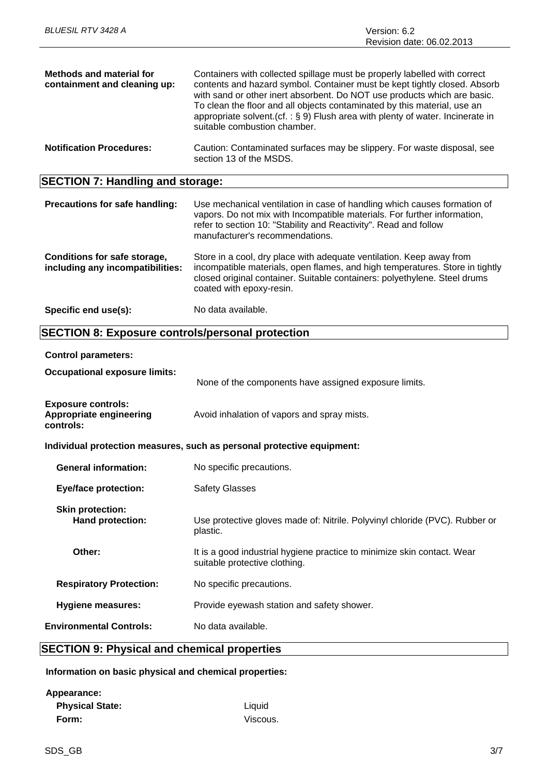| <b>Methods and material for</b><br>containment and cleaning up: | Containers with collected spillage must be properly labelled with correct<br>contents and hazard symbol. Container must be kept tightly closed. Absorb<br>with sand or other inert absorbent. Do NOT use products which are basic.<br>To clean the floor and all objects contaminated by this material, use an<br>appropriate solvent. (cf. : $\S$ 9) Flush area with plenty of water. Incinerate in<br>suitable combustion chamber. |
|-----------------------------------------------------------------|--------------------------------------------------------------------------------------------------------------------------------------------------------------------------------------------------------------------------------------------------------------------------------------------------------------------------------------------------------------------------------------------------------------------------------------|
| <b>Notification Procedures:</b>                                 | Caution: Contaminated surfaces may be slippery. For waste disposal, see<br>section 13 of the MSDS.                                                                                                                                                                                                                                                                                                                                   |

# **SECTION 7: Handling and storage:**

| Precautions for safe handling:                                   | Use mechanical ventilation in case of handling which causes formation of<br>vapors. Do not mix with Incompatible materials. For further information,<br>refer to section 10: "Stability and Reactivity". Read and follow<br>manufacturer's recommendations.   |
|------------------------------------------------------------------|---------------------------------------------------------------------------------------------------------------------------------------------------------------------------------------------------------------------------------------------------------------|
| Conditions for safe storage,<br>including any incompatibilities: | Store in a cool, dry place with adequate ventilation. Keep away from<br>incompatible materials, open flames, and high temperatures. Store in tightly<br>closed original container. Suitable containers: polyethylene. Steel drums<br>coated with epoxy-resin. |
| Specific end use(s):                                             | No data available.                                                                                                                                                                                                                                            |

# **SECTION 8: Exposure controls/personal protection**

#### **Control parameters:**

| <b>Occupational exposure limits:</b>                              | None of the components have assigned exposure limits.                                                    |  |
|-------------------------------------------------------------------|----------------------------------------------------------------------------------------------------------|--|
| <b>Exposure controls:</b><br>Appropriate engineering<br>controls: | Avoid inhalation of vapors and spray mists.                                                              |  |
|                                                                   | Individual protection measures, such as personal protective equipment:                                   |  |
| <b>General information:</b>                                       | No specific precautions.                                                                                 |  |
| <b>Eye/face protection:</b>                                       | <b>Safety Glasses</b>                                                                                    |  |
| <b>Skin protection:</b><br><b>Hand protection:</b>                | Use protective gloves made of: Nitrile. Polyvinyl chloride (PVC). Rubber or<br>plastic.                  |  |
| Other:                                                            | It is a good industrial hygiene practice to minimize skin contact. Wear<br>suitable protective clothing. |  |
| <b>Respiratory Protection:</b>                                    | No specific precautions.                                                                                 |  |
| <b>Hygiene measures:</b>                                          | Provide eyewash station and safety shower.                                                               |  |
| <b>Environmental Controls:</b>                                    | No data available.                                                                                       |  |

# **SECTION 9: Physical and chemical properties**

# **Information on basic physical and chemical properties:**

# **Appearance:**

| <b>Physical State:</b> | Liquid   |
|------------------------|----------|
| Form:                  | Viscous. |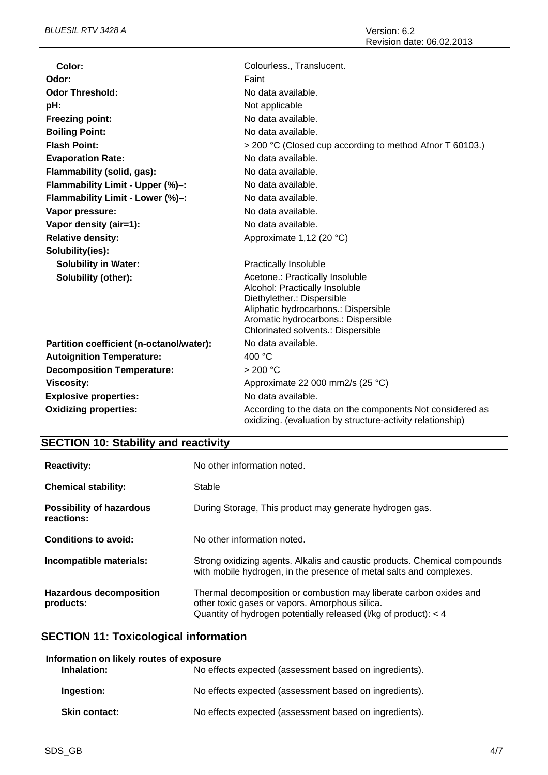| Color:                                   | Colourless., Translucent.                                                                                               |
|------------------------------------------|-------------------------------------------------------------------------------------------------------------------------|
| Odor:                                    | Faint                                                                                                                   |
| <b>Odor Threshold:</b>                   | No data available.                                                                                                      |
| pH:                                      | Not applicable                                                                                                          |
| <b>Freezing point:</b>                   | No data available.                                                                                                      |
| <b>Boiling Point:</b>                    | No data available.                                                                                                      |
| <b>Flash Point:</b>                      | > 200 °C (Closed cup according to method Afnor T 60103.)                                                                |
| <b>Evaporation Rate:</b>                 | No data available.                                                                                                      |
| Flammability (solid, gas):               | No data available.                                                                                                      |
| Flammability Limit - Upper (%)-:         | No data available.                                                                                                      |
| Flammability Limit - Lower (%)-:         | No data available.                                                                                                      |
| Vapor pressure:                          | No data available.                                                                                                      |
| Vapor density (air=1):                   | No data available.                                                                                                      |
| <b>Relative density:</b>                 | Approximate 1,12 (20 °C)                                                                                                |
| Solubility(ies):                         |                                                                                                                         |
| <b>Solubility in Water:</b>              | <b>Practically Insoluble</b>                                                                                            |
| Solubility (other):                      | Acetone.: Practically Insoluble                                                                                         |
|                                          | Alcohol: Practically Insoluble                                                                                          |
|                                          | Diethylether.: Dispersible<br>Aliphatic hydrocarbons.: Dispersible                                                      |
|                                          | Aromatic hydrocarbons.: Dispersible                                                                                     |
|                                          | Chlorinated solvents.: Dispersible                                                                                      |
| Partition coefficient (n-octanol/water): | No data available.                                                                                                      |
| <b>Autoignition Temperature:</b>         | 400 °C                                                                                                                  |
| <b>Decomposition Temperature:</b>        | > 200 °C                                                                                                                |
| <b>Viscosity:</b>                        | Approximate 22 000 mm2/s (25 °C)                                                                                        |
| <b>Explosive properties:</b>             | No data available.                                                                                                      |
| <b>Oxidizing properties:</b>             | According to the data on the components Not considered as<br>oxidizing. (evaluation by structure-activity relationship) |

# **SECTION 10: Stability and reactivity**

| <b>Reactivity:</b>                            | No other information noted.                                                                                                                                                              |
|-----------------------------------------------|------------------------------------------------------------------------------------------------------------------------------------------------------------------------------------------|
| <b>Chemical stability:</b>                    | Stable                                                                                                                                                                                   |
| <b>Possibility of hazardous</b><br>reactions: | During Storage, This product may generate hydrogen gas.                                                                                                                                  |
| Conditions to avoid:                          | No other information noted.                                                                                                                                                              |
| Incompatible materials:                       | Strong oxidizing agents. Alkalis and caustic products. Chemical compounds<br>with mobile hydrogen, in the presence of metal salts and complexes.                                         |
| <b>Hazardous decomposition</b><br>products:   | Thermal decomposition or combustion may liberate carbon oxides and<br>other toxic gases or vapors. Amorphous silica.<br>Quantity of hydrogen potentially released (I/kg of product): < 4 |

# **SECTION 11: Toxicological information**

| Information on likely routes of exposure |                                                        |  |
|------------------------------------------|--------------------------------------------------------|--|
| Inhalation:                              | No effects expected (assessment based on ingredients). |  |
| Ingestion:                               | No effects expected (assessment based on ingredients). |  |
| <b>Skin contact:</b>                     | No effects expected (assessment based on ingredients). |  |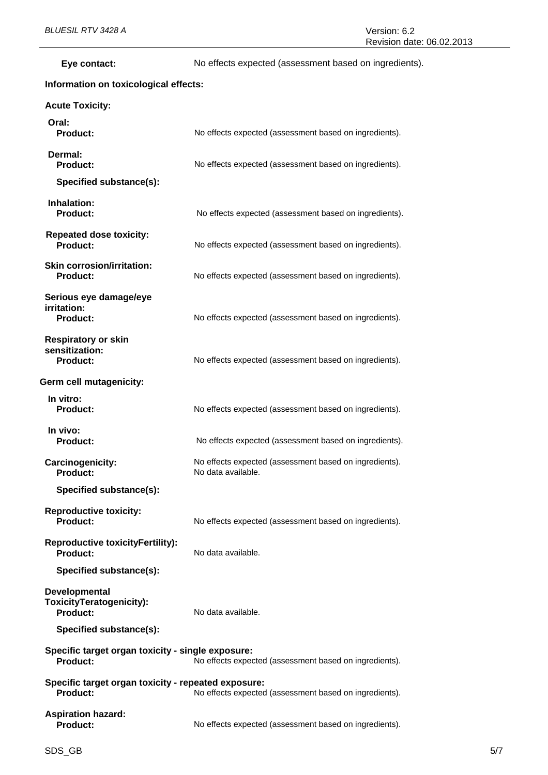| Eye contact:                                                           | No effects expected (assessment based on ingredients).                       |
|------------------------------------------------------------------------|------------------------------------------------------------------------------|
| Information on toxicological effects:                                  |                                                                              |
| <b>Acute Toxicity:</b>                                                 |                                                                              |
| Oral:<br><b>Product:</b>                                               | No effects expected (assessment based on ingredients).                       |
| Dermal:<br>Product:                                                    | No effects expected (assessment based on ingredients).                       |
| Specified substance(s):                                                |                                                                              |
| Inhalation:<br><b>Product:</b>                                         | No effects expected (assessment based on ingredients).                       |
| <b>Repeated dose toxicity:</b><br><b>Product:</b>                      | No effects expected (assessment based on ingredients).                       |
| <b>Skin corrosion/irritation:</b><br><b>Product:</b>                   | No effects expected (assessment based on ingredients).                       |
| Serious eye damage/eye<br>irritation:<br><b>Product:</b>               | No effects expected (assessment based on ingredients).                       |
| <b>Respiratory or skin</b><br>sensitization:<br><b>Product:</b>        | No effects expected (assessment based on ingredients).                       |
| Germ cell mutagenicity:                                                |                                                                              |
| In vitro:<br><b>Product:</b>                                           | No effects expected (assessment based on ingredients).                       |
| In vivo:<br><b>Product:</b>                                            | No effects expected (assessment based on ingredients).                       |
| Carcinogenicity:<br><b>Product:</b>                                    | No effects expected (assessment based on ingredients).<br>No data available. |
| Specified substance(s):                                                |                                                                              |
| <b>Reproductive toxicity:</b><br>Product:                              | No effects expected (assessment based on ingredients).                       |
| <b>Reproductive toxicityFertility):</b><br><b>Product:</b>             | No data available.                                                           |
| Specified substance(s):                                                |                                                                              |
| Developmental<br>ToxicityTeratogenicity):<br><b>Product:</b>           | No data available.                                                           |
| Specified substance(s):                                                |                                                                              |
| Specific target organ toxicity - single exposure:<br><b>Product:</b>   | No effects expected (assessment based on ingredients).                       |
| Specific target organ toxicity - repeated exposure:<br><b>Product:</b> | No effects expected (assessment based on ingredients).                       |
| <b>Aspiration hazard:</b><br><b>Product:</b>                           | No effects expected (assessment based on ingredients).                       |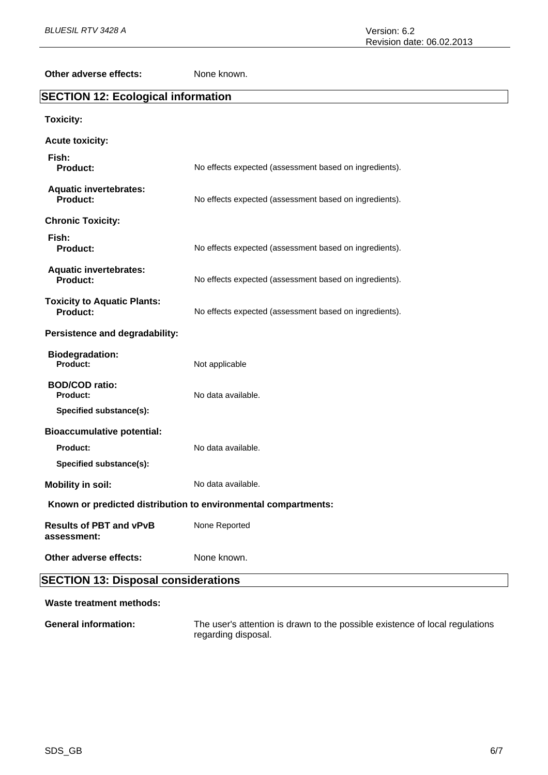**Other adverse effects:** None known.

# **SECTION 12: Ecological information**

| <b>Toxicity:</b>                                               |                                                        |  |
|----------------------------------------------------------------|--------------------------------------------------------|--|
| <b>Acute toxicity:</b>                                         |                                                        |  |
| Fish:<br><b>Product:</b>                                       | No effects expected (assessment based on ingredients). |  |
| <b>Aquatic invertebrates:</b><br><b>Product:</b>               | No effects expected (assessment based on ingredients). |  |
| <b>Chronic Toxicity:</b>                                       |                                                        |  |
| Fish:<br><b>Product:</b>                                       | No effects expected (assessment based on ingredients). |  |
| <b>Aquatic invertebrates:</b><br>Product:                      | No effects expected (assessment based on ingredients). |  |
| <b>Toxicity to Aquatic Plants:</b><br><b>Product:</b>          | No effects expected (assessment based on ingredients). |  |
| Persistence and degradability:                                 |                                                        |  |
| <b>Biodegradation:</b><br>Product:                             | Not applicable                                         |  |
| <b>BOD/COD ratio:</b><br><b>Product:</b>                       | No data available.                                     |  |
| Specified substance(s):                                        |                                                        |  |
| <b>Bioaccumulative potential:</b>                              |                                                        |  |
| Product:                                                       | No data available.                                     |  |
| Specified substance(s):                                        |                                                        |  |
| <b>Mobility in soil:</b>                                       | No data available.                                     |  |
| Known or predicted distribution to environmental compartments: |                                                        |  |
| <b>Results of PBT and vPvB</b> None Reported<br>assessment:    |                                                        |  |
| Other adverse effects:                                         | None known.                                            |  |
| <b>SECTION 13: Disposal considerations</b>                     |                                                        |  |
|                                                                |                                                        |  |

**Waste treatment methods:** 

**General information:** The user's attention is drawn to the possible existence of local regulations regarding disposal.